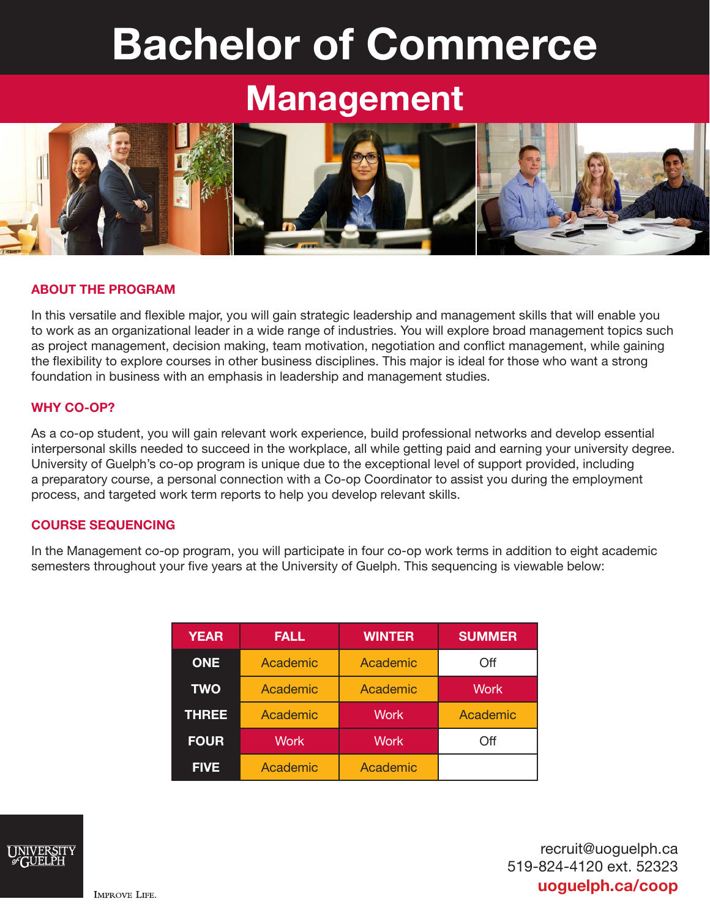# Bachelor of Commerce

# **Management**



## ABOUT THE PROGRAM

In this versatile and flexible major, you will gain strategic leadership and management skills that will enable you to work as an organizational leader in a wide range of industries. You will explore broad management topics such as project management, decision making, team motivation, negotiation and conflict management, while gaining the flexibility to explore courses in other business disciplines. This major is ideal for those who want a strong foundation in business with an emphasis in leadership and management studies.

#### WHY CO-OP?

As a co-op student, you will gain relevant work experience, build professional networks and develop essential interpersonal skills needed to succeed in the workplace, all while getting paid and earning your university degree. University of Guelph's co-op program is unique due to the exceptional level of support provided, including a preparatory course, a personal connection with a Co-op Coordinator to assist you during the employment process, and targeted work term reports to help you develop relevant skills.

#### COURSE SEQUENCING

In the Management co-op program, you will participate in four co-op work terms in addition to eight academic semesters throughout your five years at the University of Guelph. This sequencing is viewable below:

| <b>YEAR</b>  | <b>FALL</b>       | <b>WINTER</b> | <b>SUMMER</b> |
|--------------|-------------------|---------------|---------------|
| <b>ONE</b>   | Academic          | Academic      | Off           |
| <b>TWO</b>   | Academic          | Academic      | <b>Work</b>   |
| <b>THREE</b> | Academic          | <b>Work</b>   | Academic      |
| <b>FOUR</b>  | Work <sup>'</sup> | <b>Work</b>   | Off           |
| <b>FIVE</b>  | Academic          | Academic      |               |



recruit@uoguelph.ca 519-824-4120 ext. 52323 uoguelph.ca/coop